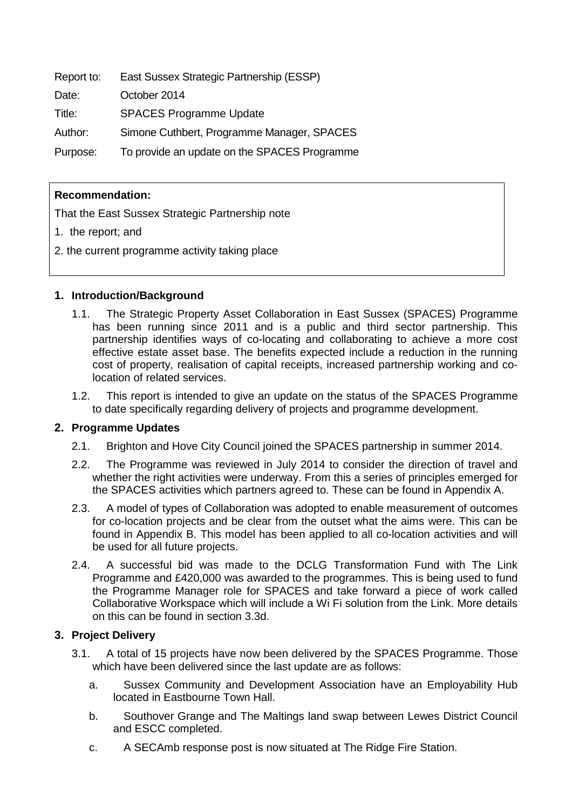Report to: East Sussex Strategic Partnership (ESSP)

Date: October 2014

Title: SPACES Programme Update

Author: Simone Cuthbert, Programme Manager, SPACES

Purpose: To provide an update on the SPACES Programme

# **Recommendation:**

That the East Sussex Strategic Partnership note

- 1. the report; and
- 2. the current programme activity taking place

### **1. Introduction/Background**

- 1.1. The Strategic Property Asset Collaboration in East Sussex (SPACES) Programme has been running since 2011 and is a public and third sector partnership. This partnership identifies ways of co-locating and collaborating to achieve a more cost effective estate asset base. The benefits expected include a reduction in the running cost of property, realisation of capital receipts, increased partnership working and colocation of related services.
- 1.2. This report is intended to give an update on the status of the SPACES Programme to date specifically regarding delivery of projects and programme development.

### **2. Programme Updates**

- 2.1. Brighton and Hove City Council joined the SPACES partnership in summer 2014.
- 2.2. The Programme was reviewed in July 2014 to consider the direction of travel and whether the right activities were underway. From this a series of principles emerged for the SPACES activities which partners agreed to. These can be found in Appendix A.
- 2.3. A model of types of Collaboration was adopted to enable measurement of outcomes for co-location projects and be clear from the outset what the aims were. This can be found in Appendix B. This model has been applied to all co-location activities and will be used for all future projects.
- 2.4. A successful bid was made to the DCLG Transformation Fund with The Link Programme and £420,000 was awarded to the programmes. This is being used to fund the Programme Manager role for SPACES and take forward a piece of work called Collaborative Workspace which will include a Wi Fi solution from the Link. More details on this can be found in section 3.3d.

# **3. Project Delivery**

- 3.1. A total of 15 projects have now been delivered by the SPACES Programme. Those which have been delivered since the last update are as follows:
	- a. Sussex Community and Development Association have an Employability Hub located in Eastbourne Town Hall.
	- b. Southover Grange and The Maltings land swap between Lewes District Council and ESCC completed.
	- c. A SECAmb response post is now situated at The Ridge Fire Station.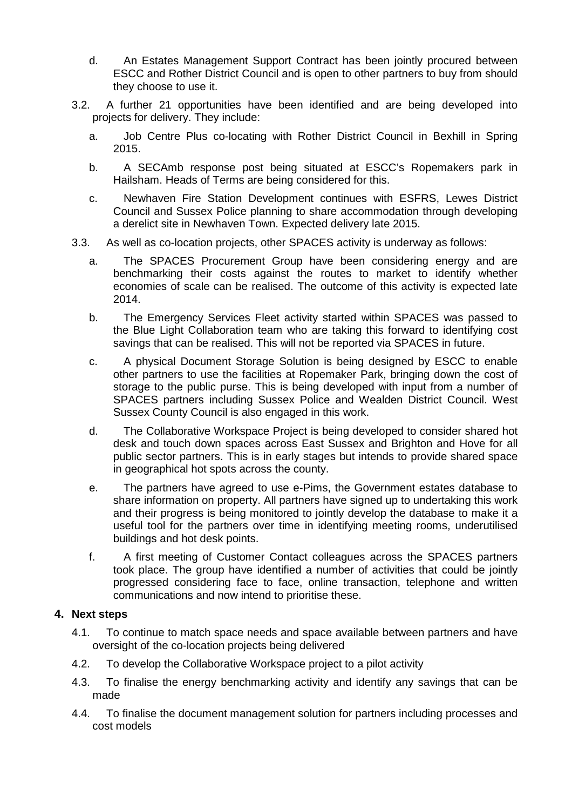- d. An Estates Management Support Contract has been jointly procured between ESCC and Rother District Council and is open to other partners to buy from should they choose to use it.
- 3.2. A further 21 opportunities have been identified and are being developed into projects for delivery. They include:
	- a. Job Centre Plus co-locating with Rother District Council in Bexhill in Spring 2015.
	- b. A SECAmb response post being situated at ESCC's Ropemakers park in Hailsham. Heads of Terms are being considered for this.
	- c. Newhaven Fire Station Development continues with ESFRS, Lewes District Council and Sussex Police planning to share accommodation through developing a derelict site in Newhaven Town. Expected delivery late 2015.
- 3.3. As well as co-location projects, other SPACES activity is underway as follows:
	- a. The SPACES Procurement Group have been considering energy and are benchmarking their costs against the routes to market to identify whether economies of scale can be realised. The outcome of this activity is expected late 2014.
	- b. The Emergency Services Fleet activity started within SPACES was passed to the Blue Light Collaboration team who are taking this forward to identifying cost savings that can be realised. This will not be reported via SPACES in future.
	- c. A physical Document Storage Solution is being designed by ESCC to enable other partners to use the facilities at Ropemaker Park, bringing down the cost of storage to the public purse. This is being developed with input from a number of SPACES partners including Sussex Police and Wealden District Council. West Sussex County Council is also engaged in this work.
	- d. The Collaborative Workspace Project is being developed to consider shared hot desk and touch down spaces across East Sussex and Brighton and Hove for all public sector partners. This is in early stages but intends to provide shared space in geographical hot spots across the county.
	- e. The partners have agreed to use e-Pims, the Government estates database to share information on property. All partners have signed up to undertaking this work and their progress is being monitored to jointly develop the database to make it a useful tool for the partners over time in identifying meeting rooms, underutilised buildings and hot desk points.
	- f. A first meeting of Customer Contact colleagues across the SPACES partners took place. The group have identified a number of activities that could be jointly progressed considering face to face, online transaction, telephone and written communications and now intend to prioritise these.

### **4. Next steps**

- 4.1. To continue to match space needs and space available between partners and have oversight of the co-location projects being delivered
- 4.2. To develop the Collaborative Workspace project to a pilot activity
- 4.3. To finalise the energy benchmarking activity and identify any savings that can be made
- 4.4. To finalise the document management solution for partners including processes and cost models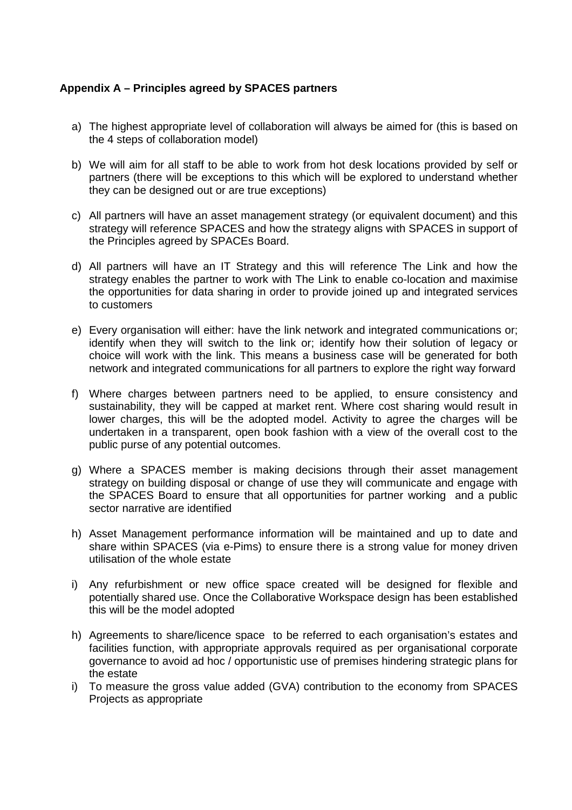# **Appendix A – Principles agreed by SPACES partners**

- a) The highest appropriate level of collaboration will always be aimed for (this is based on the 4 steps of collaboration model)
- b) We will aim for all staff to be able to work from hot desk locations provided by self or partners (there will be exceptions to this which will be explored to understand whether they can be designed out or are true exceptions)
- c) All partners will have an asset management strategy (or equivalent document) and this strategy will reference SPACES and how the strategy aligns with SPACES in support of the Principles agreed by SPACEs Board.
- d) All partners will have an IT Strategy and this will reference The Link and how the strategy enables the partner to work with The Link to enable co-location and maximise the opportunities for data sharing in order to provide joined up and integrated services to customers
- e) Every organisation will either: have the link network and integrated communications or; identify when they will switch to the link or; identify how their solution of legacy or choice will work with the link. This means a business case will be generated for both network and integrated communications for all partners to explore the right way forward
- f) Where charges between partners need to be applied, to ensure consistency and sustainability, they will be capped at market rent. Where cost sharing would result in lower charges, this will be the adopted model. Activity to agree the charges will be undertaken in a transparent, open book fashion with a view of the overall cost to the public purse of any potential outcomes.
- g) Where a SPACES member is making decisions through their asset management strategy on building disposal or change of use they will communicate and engage with the SPACES Board to ensure that all opportunities for partner working and a public sector narrative are identified
- h) Asset Management performance information will be maintained and up to date and share within SPACES (via e-Pims) to ensure there is a strong value for money driven utilisation of the whole estate
- i) Any refurbishment or new office space created will be designed for flexible and potentially shared use. Once the Collaborative Workspace design has been established this will be the model adopted
- h) Agreements to share/licence space to be referred to each organisation's estates and facilities function, with appropriate approvals required as per organisational corporate governance to avoid ad hoc / opportunistic use of premises hindering strategic plans for the estate
- i) To measure the gross value added (GVA) contribution to the economy from SPACES Projects as appropriate